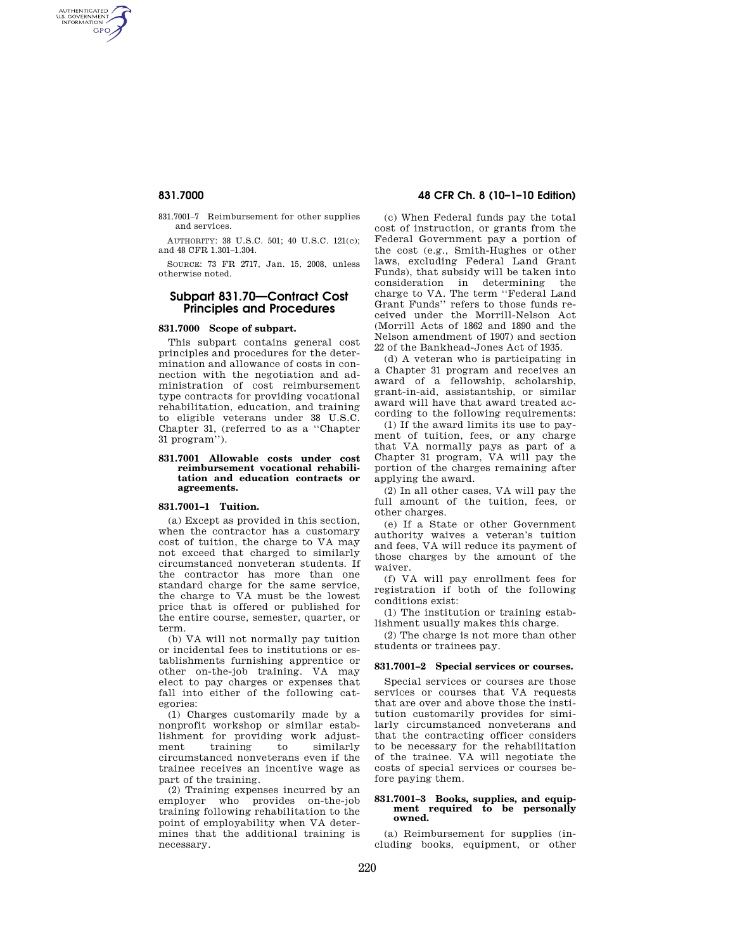AUTHENTICATED<br>U.S. GOVERNMENT<br>INFORMATION **GPO** 

> 831.7001–7 Reimbursement for other supplies and services.

AUTHORITY: 38 U.S.C. 501; 40 U.S.C. 121(c); and 48 CFR 1.301–1.304.

SOURCE: 73 FR 2717, Jan. 15, 2008, unless otherwise noted.

## **Subpart 831.70—Contract Cost Principles and Procedures**

## **831.7000 Scope of subpart.**

This subpart contains general cost principles and procedures for the determination and allowance of costs in connection with the negotiation and administration of cost reimbursement type contracts for providing vocational rehabilitation, education, and training to eligible veterans under 38 U.S.C. Chapter 31, (referred to as a ''Chapter 31 program'').

#### **831.7001 Allowable costs under cost reimbursement vocational rehabilitation and education contracts or agreements.**

## **831.7001–1 Tuition.**

(a) Except as provided in this section, when the contractor has a customary cost of tuition, the charge to VA may not exceed that charged to similarly circumstanced nonveteran students. If the contractor has more than one standard charge for the same service, the charge to VA must be the lowest price that is offered or published for the entire course, semester, quarter, or term.

(b) VA will not normally pay tuition or incidental fees to institutions or establishments furnishing apprentice or other on-the-job training. VA may elect to pay charges or expenses that fall into either of the following categories:

(1) Charges customarily made by a nonprofit workshop or similar establishment for providing work adjustment training to similarly circumstanced nonveterans even if the trainee receives an incentive wage as part of the training.

(2) Training expenses incurred by an employer who provides on-the-job training following rehabilitation to the point of employability when VA determines that the additional training is necessary.

# **831.7000 48 CFR Ch. 8 (10–1–10 Edition)**

(c) When Federal funds pay the total cost of instruction, or grants from the Federal Government pay a portion of the cost (e.g., Smith-Hughes or other laws, excluding Federal Land Grant Funds), that subsidy will be taken into consideration in determining the charge to VA. The term ''Federal Land Grant Funds'' refers to those funds received under the Morrill-Nelson Act (Morrill Acts of 1862 and 1890 and the Nelson amendment of 1907) and section 22 of the Bankhead-Jones Act of 1935.

(d) A veteran who is participating in a Chapter 31 program and receives an award of a fellowship, scholarship, grant-in-aid, assistantship, or similar award will have that award treated according to the following requirements:

(1) If the award limits its use to payment of tuition, fees, or any charge that VA normally pays as part of a Chapter 31 program, VA will pay the portion of the charges remaining after applying the award.

(2) In all other cases, VA will pay the full amount of the tuition, fees, or other charges.

(e) If a State or other Government authority waives a veteran's tuition and fees, VA will reduce its payment of those charges by the amount of the waiver.

(f) VA will pay enrollment fees for registration if both of the following conditions exist:

(1) The institution or training establishment usually makes this charge.

(2) The charge is not more than other students or trainees pay.

## **831.7001–2 Special services or courses.**

Special services or courses are those services or courses that VA requests that are over and above those the institution customarily provides for similarly circumstanced nonveterans and that the contracting officer considers to be necessary for the rehabilitation of the trainee. VA will negotiate the costs of special services or courses before paying them.

#### **831.7001–3 Books, supplies, and equipment required to be personally owned.**

(a) Reimbursement for supplies (including books, equipment, or other